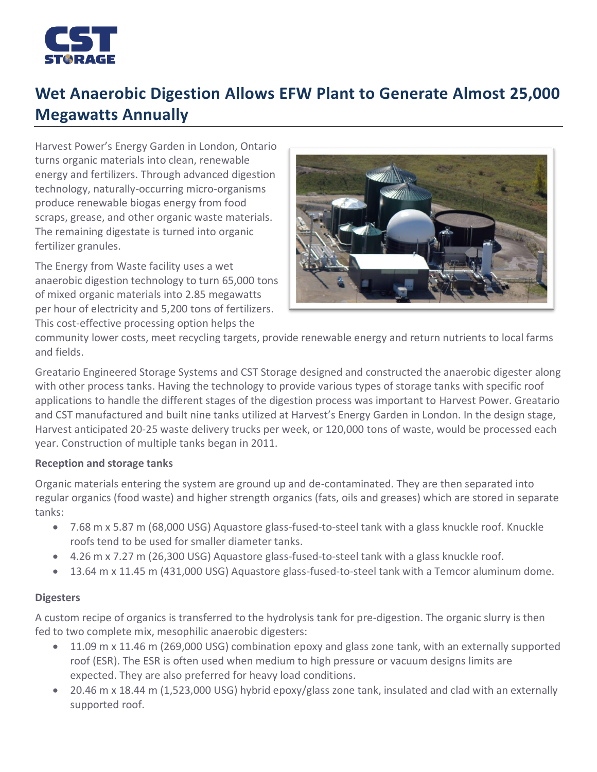

# **Wet Anaerobic Digestion Allows EFW Plant to Generate Almost 25,000 Megawatts Annually**

Harvest Power's Energy Garden in London, Ontario turns organic materials into clean, renewable energy and fertilizers. Through advanced digestion technology, naturally-occurring micro-organisms produce renewable biogas energy from food scraps, grease, and other organic waste materials. The remaining digestate is turned into organic fertilizer granules.

The Energy from Waste facility uses a wet anaerobic digestion technology to turn 65,000 tons of mixed organic materials into 2.85 megawatts per hour of electricity and 5,200 tons of fertilizers. This cost-effective processing option helps the



community lower costs, meet recycling targets, provide renewable energy and return nutrients to local farms and fields.

Greatario Engineered Storage Systems and CST Storage designed and constructed the anaerobic digester along with other process tanks. Having the technology to provide various types of storage tanks with specific roof applications to handle the different stages of the digestion process was important to Harvest Power. Greatario and CST manufactured and built nine tanks utilized at Harvest's Energy Garden in London. In the design stage, Harvest anticipated 20-25 waste delivery trucks per week, or 120,000 tons of waste, would be processed each year. Construction of multiple tanks began in 2011.

# **Reception and storage tanks**

Organic materials entering the system are ground up and de-contaminated. They are then separated into regular organics (food waste) and higher strength organics (fats, oils and greases) which are stored in separate tanks:

- 7.68 m x 5.87 m (68,000 USG) Aquastore glass-fused-to-steel tank with a glass knuckle roof. Knuckle roofs tend to be used for smaller diameter tanks.
- 4.26 m x 7.27 m (26,300 USG) Aquastore glass-fused-to-steel tank with a glass knuckle roof.
- 13.64 m x 11.45 m (431,000 USG) Aquastore glass-fused-to-steel tank with a Temcor aluminum dome.

# **Digesters**

A custom recipe of organics is transferred to the hydrolysis tank for pre-digestion. The organic slurry is then fed to two complete mix, mesophilic anaerobic digesters:

- 11.09 m x 11.46 m (269,000 USG) combination epoxy and glass zone tank, with an externally supported roof (ESR). The ESR is often used when medium to high pressure or vacuum designs limits are expected. They are also preferred for heavy load conditions.
- 20.46 m x 18.44 m (1,523,000 USG) hybrid epoxy/glass zone tank, insulated and clad with an externally supported roof.